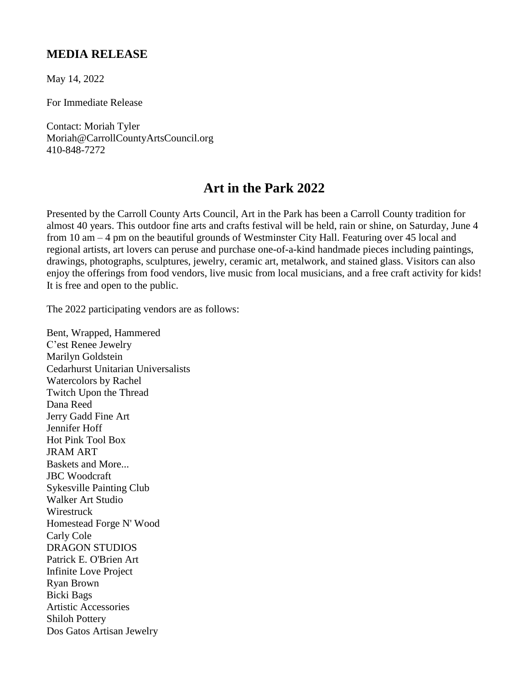## **MEDIA RELEASE**

May 14, 2022

For Immediate Release

Contact: Moriah Tyler Moriah@CarrollCountyArtsCouncil.org 410-848-7272

## **Art in the Park 2022**

Presented by the Carroll County Arts Council, Art in the Park has been a Carroll County tradition for almost 40 years. This outdoor fine arts and crafts festival will be held, rain or shine, on Saturday, June 4 from 10 am – 4 pm on the beautiful grounds of Westminster City Hall. Featuring over 45 local and regional artists, art lovers can peruse and purchase one-of-a-kind handmade pieces including paintings, drawings, photographs, sculptures, jewelry, ceramic art, metalwork, and stained glass. Visitors can also enjoy the offerings from food vendors, live music from local musicians, and a free craft activity for kids! It is free and open to the public.

The 2022 participating vendors are as follows:

Bent, Wrapped, Hammered C'est Renee Jewelry Marilyn Goldstein Cedarhurst Unitarian Universalists Watercolors by Rachel Twitch Upon the Thread Dana Reed Jerry Gadd Fine Art Jennifer Hoff Hot Pink Tool Box JRAM ART Baskets and More... JBC Woodcraft Sykesville Painting Club Walker Art Studio Wirestruck Homestead Forge N' Wood Carly Cole DRAGON STUDIOS Patrick E. O'Brien Art Infinite Love Project Ryan Brown Bicki Bags Artistic Accessories Shiloh Pottery Dos Gatos Artisan Jewelry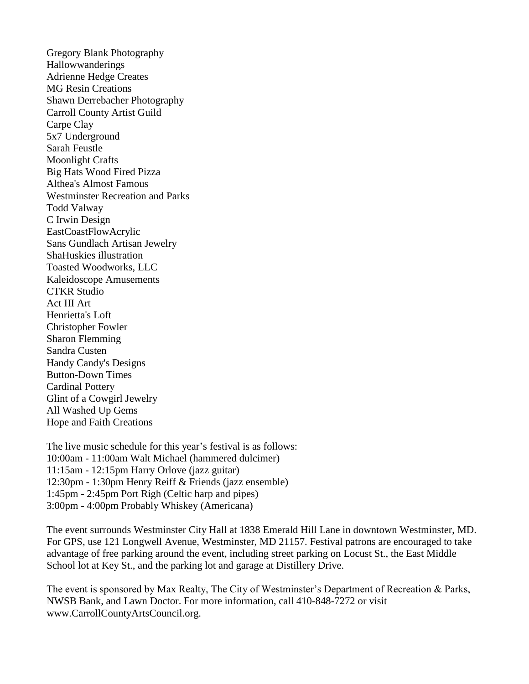Gregory Blank Photography Hallowwanderings Adrienne Hedge Creates MG Resin Creations Shawn Derrebacher Photography Carroll County Artist Guild Carpe Clay 5x7 Underground Sarah Feustle Moonlight Crafts Big Hats Wood Fired Pizza Althea's Almost Famous Westminster Recreation and Parks Todd Valway C Irwin Design EastCoastFlowAcrylic Sans Gundlach Artisan Jewelry ShaHuskies illustration Toasted Woodworks, LLC Kaleidoscope Amusements CTKR Studio Act III Art Henrietta's Loft Christopher Fowler Sharon Flemming Sandra Custen Handy Candy's Designs Button-Down Times Cardinal Pottery Glint of a Cowgirl Jewelry All Washed Up Gems Hope and Faith Creations

The live music schedule for this year's festival is as follows: 10:00am - 11:00am Walt Michael (hammered dulcimer) 11:15am - 12:15pm Harry Orlove (jazz guitar) 12:30pm - 1:30pm Henry Reiff & Friends (jazz ensemble) 1:45pm - 2:45pm Port Righ (Celtic harp and pipes) 3:00pm - 4:00pm Probably Whiskey (Americana)

The event surrounds Westminster City Hall at 1838 Emerald Hill Lane in downtown Westminster, MD. For GPS, use 121 Longwell Avenue, Westminster, MD 21157. Festival patrons are encouraged to take advantage of free parking around the event, including street parking on Locust St., the East Middle School lot at Key St., and the parking lot and garage at Distillery Drive.

The event is sponsored by Max Realty, The City of Westminster's Department of Recreation & Parks, NWSB Bank, and Lawn Doctor. For more information, call 410-848-7272 or visit www.CarrollCountyArtsCouncil.org.